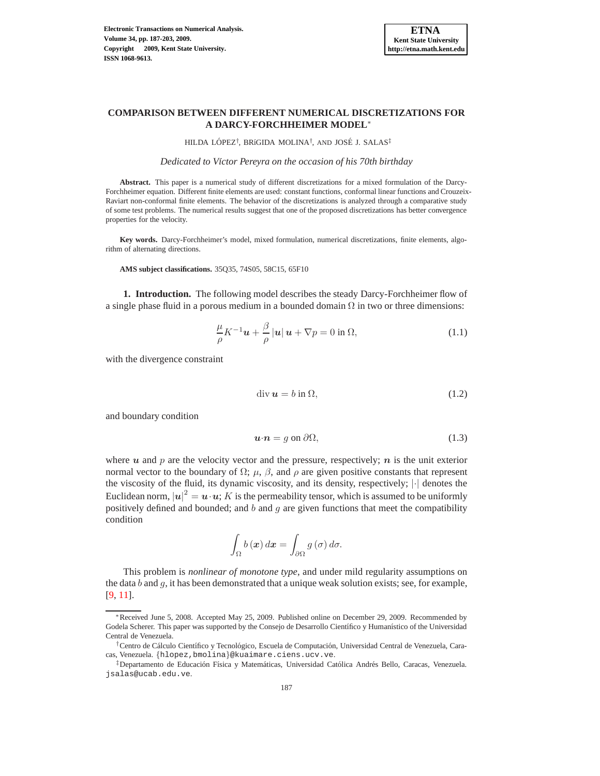

# **COMPARISON BETWEEN DIFFERENT NUMERICAL DISCRETIZATIONS FOR A DARCY-FORCHHEIMER MODEL**<sup>∗</sup>

HILDA LÓPEZ<sup>†</sup>, BRíGIDA MOLINA<sup>†</sup>, AND JOSÉ J. SALAS<sup>‡</sup>

*Dedicated to V´ıctor Pereyra on the occasion of his 70th birthday*

**Abstract.** This paper is a numerical study of different discretizations for a mixed formulation of the Darcy-Forchheimer equation. Different finite elements are used: constant functions, conformal linear functions and Crouzeix-Raviart non-conformal finite elements. The behavior of the discretizations is analyzed through a comparative study of some test problems. The numerical results suggest that one of the proposed discretizations has better convergence properties for the velocity.

**Key words.** Darcy-Forchheimer's model, mixed formulation, numerical discretizations, finite elements, algorithm of alternating directions.

**AMS subject classifications.** 35Q35, 74S05, 58C15, 65F10

**1. Introduction.** The following model describes the steady Darcy-Forchheimer flow of a single phase fluid in a porous medium in a bounded domain  $\Omega$  in two or three dimensions:

<span id="page-0-0"></span>
$$
\frac{\mu}{\rho} K^{-1} \boldsymbol{u} + \frac{\beta}{\rho} |\boldsymbol{u}| \, \boldsymbol{u} + \nabla p = 0 \text{ in } \Omega,\tag{1.1}
$$

with the divergence constraint

<span id="page-0-1"></span>
$$
\operatorname{div} \mathbf{u} = b \text{ in } \Omega,\tag{1.2}
$$

and boundary condition

<span id="page-0-2"></span>
$$
\mathbf{u} \cdot \mathbf{n} = g \text{ on } \partial \Omega,\tag{1.3}
$$

where u and p are the velocity vector and the pressure, respectively;  $n$  is the unit exterior normal vector to the boundary of  $\Omega$ ;  $\mu$ ,  $\beta$ , and  $\rho$  are given positive constants that represent the viscosity of the fluid, its dynamic viscosity, and its density, respectively; |·| denotes the Euclidean norm,  $|u|^2 = u \cdot u$ ;  $K$  is the permeability tensor, which is assumed to be uniformly positively defined and bounded; and  $b$  and  $g$  are given functions that meet the compatibility condition

$$
\int_{\Omega} b(\boldsymbol{x}) d\boldsymbol{x} = \int_{\partial \Omega} g(\sigma) d\sigma.
$$

This problem is *nonlinear of monotone type*, and under mild regularity assumptions on the data b and q, it has been demonstrated that a unique weak solution exists; see, for example, [\[9](#page-16-0), [11](#page-16-1)].

<sup>∗</sup>Received June 5, 2008. Accepted May 25, 2009. Published online on December 29, 2009. Recommended by Godela Scherer. This paper was supported by the Consejo de Desarrollo Científico y Humanístico of the Universidad Central de Venezuela.

<sup>&</sup>lt;sup>†</sup>Centro de Cálculo Científico y Tecnológico, Escuela de Computación, Universidad Central de Venezuela, Caracas, Venezuela. {hlopez,bmolina}@kuaimare.ciens.ucv.ve.

<sup>&</sup>lt;sup>‡</sup>Departamento de Educación Física y Matemáticas, Universidad Católica Andrés Bello, Caracas, Venezuela. jsalas@ucab.edu.ve.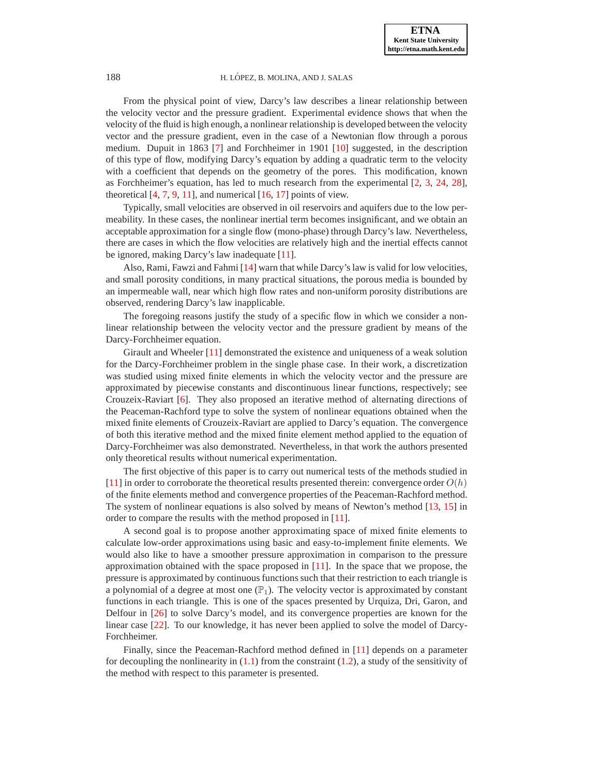From the physical point of view, Darcy's law describes a linear relationship between the velocity vector and the pressure gradient. Experimental evidence shows that when the velocity of the fluid is high enough, a nonlinear relationship is developed between the velocity vector and the pressure gradient, even in the case of a Newtonian flow through a porous medium. Dupuit in 1863 [\[7\]](#page-16-2) and Forchheimer in 1901 [\[10\]](#page-16-3) suggested, in the description of this type of flow, modifying Darcy's equation by adding a quadratic term to the velocity with a coefficient that depends on the geometry of the pores. This modification, known as Forchheimer's equation, has led to much research from the experimental [\[2](#page-16-4), [3](#page-16-5), [24](#page-16-6), [28](#page-16-7)], theoretical  $[4, 7, 9, 11]$  $[4, 7, 9, 11]$  $[4, 7, 9, 11]$  $[4, 7, 9, 11]$  $[4, 7, 9, 11]$  $[4, 7, 9, 11]$ , and numerical  $[16, 17]$  $[16, 17]$  $[16, 17]$  points of view.

Typically, small velocities are observed in oil reservoirs and aquifers due to the low permeability. In these cases, the nonlinear inertial term becomes insignificant, and we obtain an acceptable approximation for a single flow (mono-phase) through Darcy's law. Nevertheless, there are cases in which the flow velocities are relatively high and the inertial effects cannot be ignored, making Darcy's law inadequate [\[11\]](#page-16-1).

Also, Rami, Fawzi and Fahmi [\[14\]](#page-16-11) warn that while Darcy's law is valid for low velocities, and small porosity conditions, in many practical situations, the porous media is bounded by an impermeable wall, near which high flow rates and non-uniform porosity distributions are observed, rendering Darcy's law inapplicable.

The foregoing reasons justify the study of a specific flow in which we consider a nonlinear relationship between the velocity vector and the pressure gradient by means of the Darcy-Forchheimer equation.

Girault and Wheeler [\[11](#page-16-1)] demonstrated the existence and uniqueness of a weak solution for the Darcy-Forchheimer problem in the single phase case. In their work, a discretization was studied using mixed finite elements in which the velocity vector and the pressure are approximated by piecewise constants and discontinuous linear functions, respectively; see Crouzeix-Raviart [\[6\]](#page-16-12). They also proposed an iterative method of alternating directions of the Peaceman-Rachford type to solve the system of nonlinear equations obtained when the mixed finite elements of Crouzeix-Raviart are applied to Darcy's equation. The convergence of both this iterative method and the mixed finite element method applied to the equation of Darcy-Forchheimer was also demonstrated. Nevertheless, in that work the authors presented only theoretical results without numerical experimentation.

The first objective of this paper is to carry out numerical tests of the methods studied in [\[11](#page-16-1)] in order to corroborate the theoretical results presented therein: convergence order  $O(h)$ of the finite elements method and convergence properties of the Peaceman-Rachford method. The system of nonlinear equations is also solved by means of Newton's method [\[13,](#page-16-13) [15\]](#page-16-14) in order to compare the results with the method proposed in [\[11\]](#page-16-1).

A second goal is to propose another approximating space of mixed finite elements to calculate low-order approximations using basic and easy-to-implement finite elements. We would also like to have a smoother pressure approximation in comparison to the pressure approximation obtained with the space proposed in [\[11\]](#page-16-1). In the space that we propose, the pressure is approximated by continuous functions such that their restriction to each triangle is a polynomial of a degree at most one  $(\mathbb{P}_1)$ . The velocity vector is approximated by constant functions in each triangle. This is one of the spaces presented by Urquiza, Dri, Garon, and Delfour in [\[26](#page-16-15)] to solve Darcy's model, and its convergence properties are known for the linear case [\[22](#page-16-16)]. To our knowledge, it has never been applied to solve the model of Darcy-Forchheimer.

Finally, since the Peaceman-Rachford method defined in [\[11\]](#page-16-1) depends on a parameter for decoupling the nonlinearity in  $(1.1)$  from the constraint  $(1.2)$ , a study of the sensitivity of the method with respect to this parameter is presented.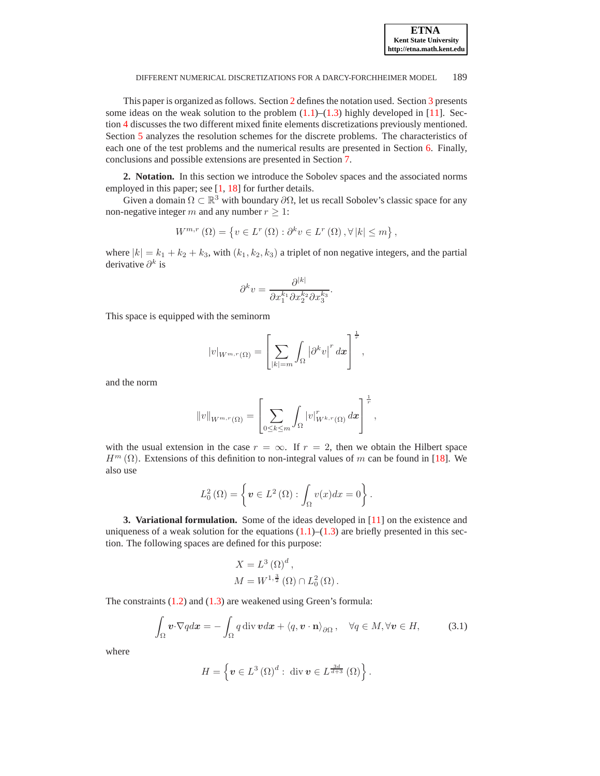This paper is organized as follows. Section [2](#page-2-0) defines the notation used. Section [3](#page-2-1) presents some ideas on the weak solution to the problem  $(1.1)$ – $(1.3)$  highly developed in [\[11\]](#page-16-1). Section [4](#page-3-0) discusses the two different mixed finite elements discretizations previously mentioned. Section [5](#page-5-0) analyzes the resolution schemes for the discrete problems. The characteristics of each one of the test problems and the numerical results are presented in Section [6.](#page-7-0) Finally, conclusions and possible extensions are presented in Section [7.](#page-13-0)

<span id="page-2-0"></span>**2. Notation.** In this section we introduce the Sobolev spaces and the associated norms employed in this paper; see [\[1,](#page-16-17) [18\]](#page-16-18) for further details.

Given a domain  $\Omega \subset \mathbb{R}^3$  with boundary  $\partial \Omega$ , let us recall Sobolev's classic space for any non-negative integer m and any number  $r \geq 1$ :

$$
W^{m,r}\left(\Omega\right) = \left\{ v \in L^r\left(\Omega\right) : \partial^k v \in L^r\left(\Omega\right), \forall \left|k\right| \leq m \right\},\
$$

where  $|k| = k_1 + k_2 + k_3$ , with  $(k_1, k_2, k_3)$  a triplet of non negative integers, and the partial derivative  $\partial^k$  is

$$
\partial^k v = \frac{\partial^{|k|}}{\partial x_1^{k_1} \partial x_2^{k_2} \partial x_3^{k_3}}.
$$

This space is equipped with the seminorm

$$
|v|_{W^{m,r}(\Omega)} = \left[ \sum_{|k|=m} \int_{\Omega} \left| \partial^k v \right|^r dx \right]^{\frac{1}{r}},
$$

and the norm

$$
||v||_{W^{m,r}(\Omega)} = \left[\sum_{0 \leq k \leq m} \int_{\Omega} |v|_{W^{k,r}(\Omega)}^r dx\right]^{\frac{1}{r}},
$$

with the usual extension in the case  $r = \infty$ . If  $r = 2$ , then we obtain the Hilbert space  $H^m(\Omega)$ . Extensions of this definition to non-integral values of m can be found in [\[18](#page-16-18)]. We also use

$$
L_0^2(\Omega) = \left\{ \boldsymbol{v} \in L^2(\Omega) : \int_{\Omega} v(x) dx = 0 \right\}.
$$

<span id="page-2-1"></span>**3. Variational formulation.** Some of the ideas developed in [\[11](#page-16-1)] on the existence and uniqueness of a weak solution for the equations  $(1.1)$ – $(1.3)$  are briefly presented in this section. The following spaces are defined for this purpose:

$$
X = L^{3} (\Omega)^{d},
$$
  
\n
$$
M = W^{1, \frac{3}{2}} (\Omega) \cap L^{2}_{0} (\Omega).
$$

The constraints [\(1.2\)](#page-0-1) and [\(1.3\)](#page-0-2) are weakened using Green's formula:

<span id="page-2-2"></span>
$$
\int_{\Omega} \mathbf{v} \cdot \nabla q dx = -\int_{\Omega} q \operatorname{div} \mathbf{v} d\mathbf{x} + \langle q, \mathbf{v} \cdot \mathbf{n} \rangle_{\partial \Omega}, \quad \forall q \in M, \forall \mathbf{v} \in H,
$$
 (3.1)

where

$$
H = \left\{ \boldsymbol{v} \in L^{3} \left( \Omega \right)^{d} : \operatorname{div} \boldsymbol{v} \in L^{\frac{3d}{d+3}} \left( \Omega \right) \right\}.
$$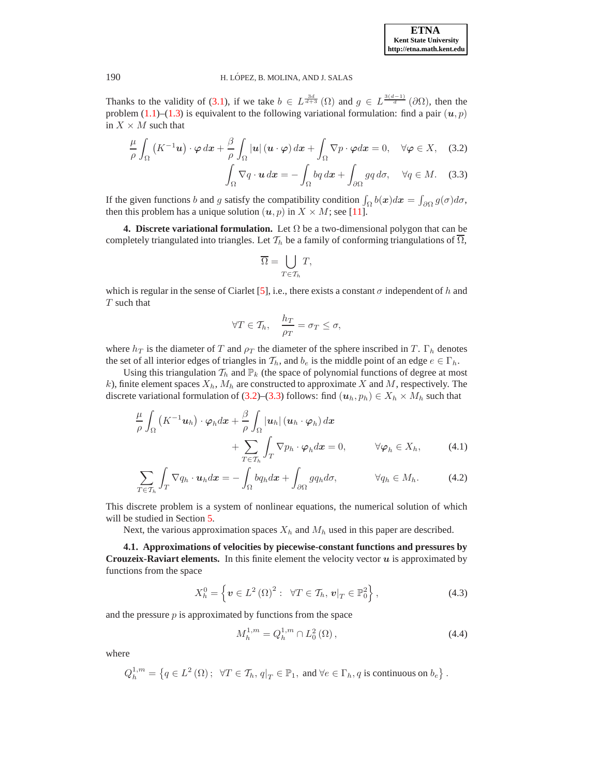Thanks to the validity of [\(3.1\)](#page-2-2), if we take  $b \in L^{\frac{3d}{d+3}}(\Omega)$  and  $g \in L^{\frac{3(d-1)}{d}}(\partial \Omega)$ , then the problem [\(1.1\)](#page-0-0)–[\(1.3\)](#page-0-2) is equivalent to the following variational formulation: find a pair  $(u, p)$ in  $X \times M$  such that

$$
\frac{\mu}{\rho} \int_{\Omega} \left( K^{-1} \mathbf{u} \right) \cdot \varphi \, dx + \frac{\beta}{\rho} \int_{\Omega} |\mathbf{u}| \left( \mathbf{u} \cdot \varphi \right) dx + \int_{\Omega} \nabla p \cdot \varphi dx = 0, \quad \forall \varphi \in X, \quad (3.2)
$$

$$
\int_{\Omega} \nabla q \cdot \mathbf{u} \, dx = - \int_{\Omega} bq \, dx + \int_{\partial \Omega} g q \, d\sigma, \quad \forall q \in M. \quad (3.3)
$$

If the given functions b and g satisfy the compatibility condition  $\int_{\Omega} b(x)dx = \int_{\partial\Omega} g(\sigma)d\sigma$ , then this problem has a unique solution  $(u, p)$  in  $X \times M$ ; see [\[11\]](#page-16-1).

<span id="page-3-0"></span>**4. Discrete variational formulation.** Let  $\Omega$  be a two-dimensional polygon that can be completely triangulated into triangles. Let  $\mathcal{T}_h$  be a family of conforming triangulations of  $\Omega$ ,

<span id="page-3-2"></span><span id="page-3-1"></span>
$$
\overline{\Omega} = \bigcup_{T \in \mathcal{T}_h} T,
$$

which is regular in the sense of Ciarlet [\[5\]](#page-16-19), i.e., there exists a constant  $\sigma$  independent of h and T such that

<span id="page-3-4"></span><span id="page-3-3"></span>
$$
\forall T \in \mathcal{T}_h, \quad \frac{h_T}{\rho_T} = \sigma_T \le \sigma,
$$

where  $h_T$  is the diameter of T and  $\rho_T$  the diameter of the sphere inscribed in T.  $\Gamma_h$  denotes the set of all interior edges of triangles in  $\mathcal{T}_h$ , and  $b_e$  is the middle point of an edge  $e \in \Gamma_h$ .

Using this triangulation  $\mathcal{T}_h$  and  $\mathbb{P}_k$  (the space of polynomial functions of degree at most k), finite element spaces  $X_h$ ,  $M_h$  are constructed to approximate X and M, respectively. The discrete variational formulation of [\(3.2\)](#page-3-1)–[\(3.3\)](#page-3-2) follows: find  $(u_h, p_h) \in X_h \times M_h$  such that

$$
\frac{\mu}{\rho} \int_{\Omega} \left( K^{-1} u_h \right) \cdot \varphi_h dx + \frac{\beta}{\rho} \int_{\Omega} |u_h| \left( u_h \cdot \varphi_h \right) dx \n+ \sum_{T \in \mathcal{T}_h} \int_{T} \nabla p_h \cdot \varphi_h dx = 0, \qquad \forall \varphi_h \in X_h, \qquad (4.1)
$$

$$
\sum_{T \in \mathcal{T}_h} \int_T \nabla q_h \cdot \boldsymbol{u}_h dx = - \int_{\Omega} b q_h dx + \int_{\partial \Omega} g q_h d\sigma, \qquad \forall q_h \in M_h. \tag{4.2}
$$

This discrete problem is a system of nonlinear equations, the numerical solution of which will be studied in Section [5.](#page-5-0)

Next, the various approximation spaces  $X_h$  and  $M_h$  used in this paper are described.

**4.1. Approximations of velocities by piecewise-constant functions and pressures by Crouzeix-Raviart elements.** In this finite element the velocity vector  $u$  is approximated by functions from the space

<span id="page-3-5"></span>
$$
X_h^0 = \left\{ \boldsymbol{v} \in L^2 \left( \Omega \right)^2 : \ \forall T \in \mathcal{T}_h, \, \boldsymbol{v} \vert_T \in \mathbb{P}_0^2 \right\},\tag{4.3}
$$

and the pressure  $p$  is approximated by functions from the space

<span id="page-3-6"></span>
$$
M_h^{1,m} = Q_h^{1,m} \cap L_0^2(\Omega),\tag{4.4}
$$

where

$$
Q_h^{1,m} = \left\{ q \in L^2(\Omega) \, ; \ \ \forall T \in \mathcal{T}_h, q|_T \in \mathbb{P}_1, \text{ and } \forall e \in \Gamma_h, q \text{ is continuous on } b_e \right\}.
$$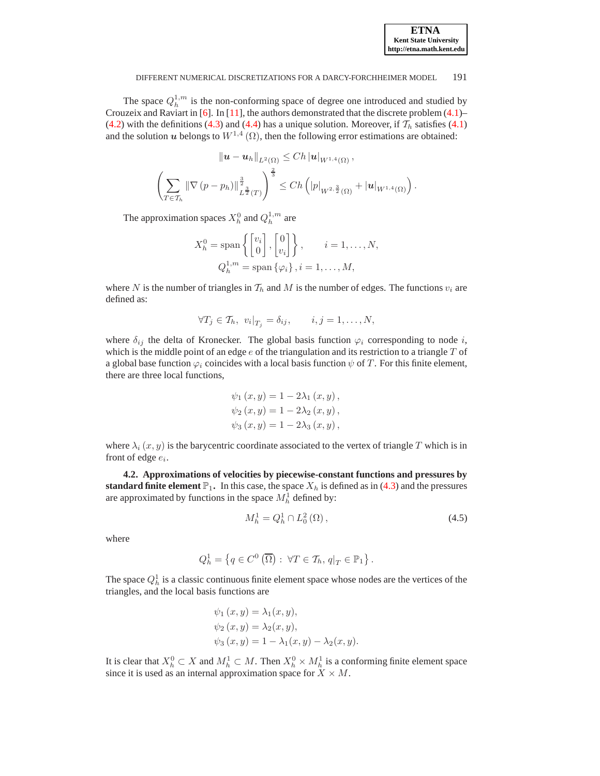| <b>ETNA</b>                  |
|------------------------------|
| <b>Kent State University</b> |
| http://etna.math.kent.edu    |

The space  $Q_h^{1,m}$  is the non-conforming space of degree one introduced and studied by Crouzeix and Raviart in [\[6](#page-16-12)]. In [\[11](#page-16-1)], the authors demonstrated that the discrete problem [\(4.1\)](#page-3-3)– [\(4.2\)](#page-3-4) with the definitions [\(4.3\)](#page-3-5) and [\(4.4\)](#page-3-6) has a unique solution. Moreover, if  $\mathcal{T}_h$  satisfies [\(4.1\)](#page-3-3) and the solution u belongs to  $W^{1,4}(\Omega)$ , then the following error estimations are obtained:

$$
\|\mathbf{u} - \mathbf{u}_h\|_{L^2(\Omega)} \le Ch |\mathbf{u}|_{W^{1,4}(\Omega)},
$$
  

$$
\left(\sum_{T \in \mathcal{T}_h} \|\nabla (p - p_h)\|_{L^{\frac{3}{2}}(T)}^{\frac{3}{2}}\right)^{\frac{2}{3}} \le Ch \left( |p|_{W^{2, \frac{3}{2}}(\Omega)} + |\mathbf{u}|_{W^{1,4}(\Omega)} \right).
$$

The approximation spaces  $X_h^0$  and  $Q_h^{1,m}$  are

$$
X_h^0 = \text{span}\left\{ \begin{bmatrix} v_i \\ 0 \end{bmatrix}, \begin{bmatrix} 0 \\ v_i \end{bmatrix} \right\}, \qquad i = 1, \dots, N,
$$
  

$$
Q_h^{1,m} = \text{span}\left\{ \varphi_i \right\}, i = 1, \dots, M,
$$

where N is the number of triangles in  $T_h$  and M is the number of edges. The functions  $v_i$  are defined as:

$$
\forall T_j \in \mathcal{T}_h, \ v_i|_{T_j} = \delta_{ij}, \qquad i, j = 1, \ldots, N,
$$

where  $\delta_{ij}$  the delta of Kronecker. The global basis function  $\varphi_i$  corresponding to node i, which is the middle point of an edge  $e$  of the triangulation and its restriction to a triangle  $T$  of a global base function  $\varphi_i$  coincides with a local basis function  $\psi$  of T. For this finite element, there are three local functions,

$$
\psi_1(x, y) = 1 - 2\lambda_1(x, y),
$$
  
\n $\psi_2(x, y) = 1 - 2\lambda_2(x, y),$   
\n $\psi_3(x, y) = 1 - 2\lambda_3(x, y),$ 

where  $\lambda_i(x, y)$  is the barycentric coordinate associated to the vertex of triangle T which is in front of edge  $e_i$ .

**4.2. Approximations of velocities by piecewise-constant functions and pressures by standard finite element**  $\mathbb{P}_1$ . In this case, the space  $X_h$  is defined as in [\(4.3\)](#page-3-5) and the pressures are approximated by functions in the space  $M_h^1$  defined by:

<span id="page-4-0"></span>
$$
M_h^1 = Q_h^1 \cap L_0^2(\Omega), \qquad (4.5)
$$

where

$$
Q_h^1 = \left\{ q \in C^0 \left( \overline{\Omega} \right) : \ \forall T \in \mathcal{T}_h, q|_T \in \mathbb{P}_1 \right\}.
$$

The space  $Q_h^1$  is a classic continuous finite element space whose nodes are the vertices of the triangles, and the local basis functions are

$$
\psi_1(x, y) = \lambda_1(x, y), \n\psi_2(x, y) = \lambda_2(x, y), \n\psi_3(x, y) = 1 - \lambda_1(x, y) - \lambda_2(x, y).
$$

It is clear that  $X_h^0 \subset X$  and  $M_h^1 \subset M$ . Then  $X_h^0 \times M_h^1$  is a conforming finite element space since it is used as an internal approximation space for  $X \times M$ .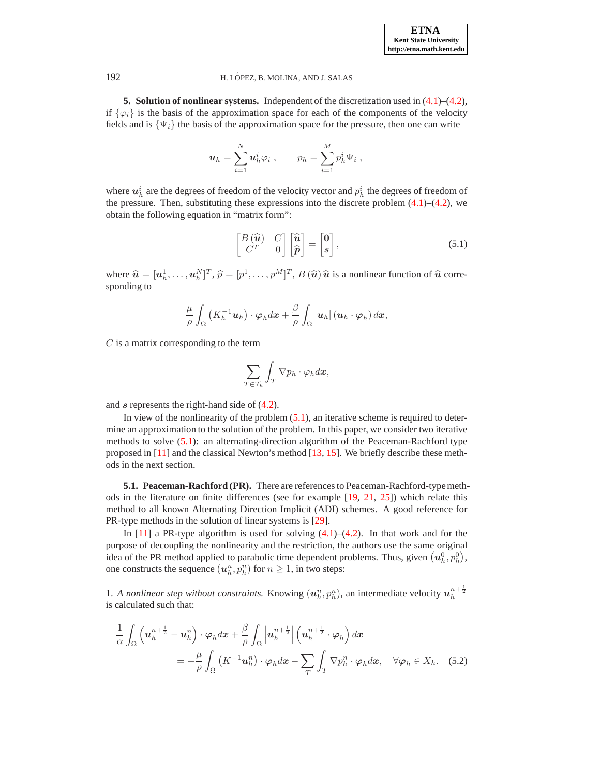**5. Solution of nonlinear systems.** Independent of the discretization used in [\(4.1\)](#page-3-3)–[\(4.2\)](#page-3-4), if  $\{\varphi_i\}$  is the basis of the approximation space for each of the components of the velocity fields and is  $\{\Psi_i\}$  the basis of the approximation space for the pressure, then one can write

$$
\mathbf{u}_h = \sum_{i=1}^N \mathbf{u}_h^i \varphi_i , \qquad p_h = \sum_{i=1}^M p_h^i \Psi_i ,
$$

where  $u_h^i$  are the degrees of freedom of the velocity vector and  $p_h^i$  the degrees of freedom of the pressure. Then, substituting these expressions into the discrete problem  $(4.1)$ – $(4.2)$ , we obtain the following equation in "matrix form":

<span id="page-5-1"></span>
$$
\begin{bmatrix} B\left(\widehat{\mathbf{u}}\right) & C \\ C^T & 0 \end{bmatrix} \begin{bmatrix} \widehat{\mathbf{u}} \\ \widehat{\boldsymbol{p}} \end{bmatrix} = \begin{bmatrix} \mathbf{0} \\ \boldsymbol{s} \end{bmatrix},\tag{5.1}
$$

where  $\hat{\mathbf{u}} = [\mathbf{u}_h^1, \dots, \mathbf{u}_h^N]^T$ ,  $\hat{p} = [p^1, \dots, p^M]^T$ ,  $B(\hat{\mathbf{u}}) \hat{\mathbf{u}}$  is a nonlinear function of  $\hat{\mathbf{u}}$  corresponding to

$$
\frac{\mu}{\rho}\int_{\Omega}\left(K_{h}^{-1}u_{h}\right)\cdot\varphi_{h}dx+\frac{\beta}{\rho}\int_{\Omega}\left|u_{h}\right|\left(u_{h}\cdot\varphi_{h}\right)dx,
$$

 $C$  is a matrix corresponding to the term

$$
\sum_{T\in\mathcal{T}_h}\int_T\nabla p_h\cdot\varphi_h d\bm{x},
$$

and s represents the right-hand side of [\(4.2\)](#page-3-4).

In view of the nonlinearity of the problem [\(5.1\)](#page-5-1), an iterative scheme is required to determine an approximation to the solution of the problem. In this paper, we consider two iterative methods to solve [\(5.1\)](#page-5-1): an alternating-direction algorithm of the Peaceman-Rachford type proposed in [\[11](#page-16-1)] and the classical Newton's method [\[13,](#page-16-13) [15](#page-16-14)]. We briefly describe these methods in the next section.

**5.1. Peaceman-Rachford (PR).** There are references to Peaceman-Rachford-typemethods in the literature on finite differences (see for example [\[19,](#page-16-20) [21,](#page-16-21) [25](#page-16-22)]) which relate this method to all known Alternating Direction Implicit (ADI) schemes. A good reference for PR-type methods in the solution of linear systems is [\[29](#page-16-23)].

In  $[11]$  a PR-type algorithm is used for solving  $(4.1)$ – $(4.2)$ . In that work and for the purpose of decoupling the nonlinearity and the restriction, the authors use the same original idea of the PR method applied to parabolic time dependent problems. Thus, given  $(u_h^0, p_h^0)$ , one constructs the sequence  $(u_h^n, p_h^n)$  for  $n \geq 1$ , in two steps:

1. *A nonlinear step without constraints.* Knowing  $(u_h^n, p_h^n)$ , an intermediate velocity  $u_h^{n+\frac{1}{2}}$ is calculated such that:

<span id="page-5-2"></span>
$$
\frac{1}{\alpha} \int_{\Omega} \left( \boldsymbol{u}_{h}^{n+\frac{1}{2}} - \boldsymbol{u}_{h}^{n} \right) \cdot \boldsymbol{\varphi}_{h} d\boldsymbol{x} + \frac{\beta}{\rho} \int_{\Omega} \left| \boldsymbol{u}_{h}^{n+\frac{1}{2}} \right| \left( \boldsymbol{u}_{h}^{n+\frac{1}{2}} \cdot \boldsymbol{\varphi}_{h} \right) d\boldsymbol{x} \n= -\frac{\mu}{\rho} \int_{\Omega} \left( K^{-1} \boldsymbol{u}_{h}^{n} \right) \cdot \boldsymbol{\varphi}_{h} d\boldsymbol{x} - \sum_{T} \int_{T} \nabla p_{h}^{n} \cdot \boldsymbol{\varphi}_{h} d\boldsymbol{x}, \quad \forall \boldsymbol{\varphi}_{h} \in X_{h}.
$$
\n(5.2)

<span id="page-5-0"></span>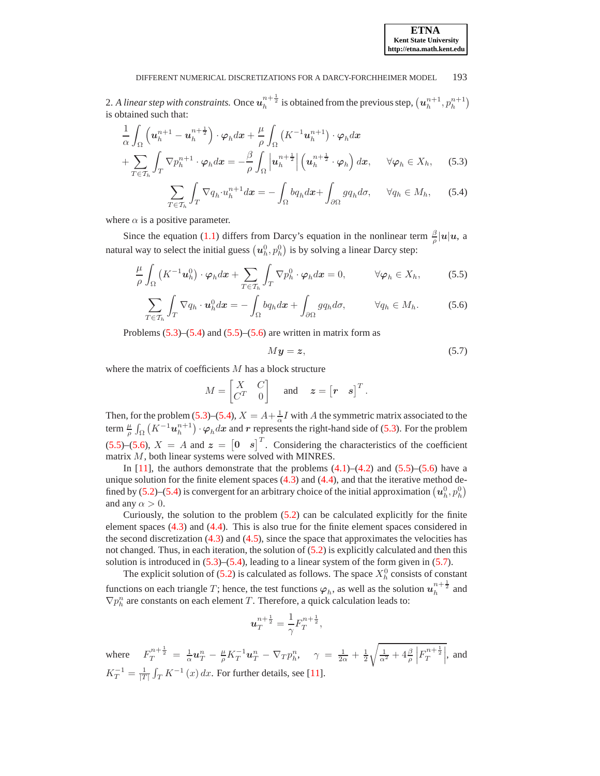2. A linear step with constraints. Once  $u_h^{n+\frac{1}{2}}$  is obtained from the previous step,  $(u_h^{n+1}, p_h^{n+1})$ is obtained such that:

$$
\frac{1}{\alpha} \int_{\Omega} \left( \boldsymbol{u}_{h}^{n+1} - \boldsymbol{u}_{h}^{n+\frac{1}{2}} \right) \cdot \boldsymbol{\varphi}_{h} d\boldsymbol{x} + \frac{\mu}{\rho} \int_{\Omega} \left( K^{-1} \boldsymbol{u}_{h}^{n+1} \right) \cdot \boldsymbol{\varphi}_{h} d\boldsymbol{x} \n+ \sum_{T \in \mathcal{T}_{h}} \int_{T} \nabla p_{h}^{n+1} \cdot \boldsymbol{\varphi}_{h} d\boldsymbol{x} = - \frac{\beta}{\rho} \int_{\Omega} \left| \boldsymbol{u}_{h}^{n+\frac{1}{2}} \right| \left( \boldsymbol{u}_{h}^{n+\frac{1}{2}} \cdot \boldsymbol{\varphi}_{h} \right) d\boldsymbol{x}, \quad \forall \boldsymbol{\varphi}_{h} \in X_{h}, \quad (5.3)
$$

$$
\sum_{T \in \mathcal{T}_h} \int_T \nabla q_h \cdot u_h^{n+1} dx = - \int_{\Omega} b q_h dx + \int_{\partial \Omega} g q_h d\sigma, \quad \forall q_h \in M_h, \quad (5.4)
$$

where  $\alpha$  is a positive parameter.

Since the equation [\(1.1\)](#page-0-0) differs from Darcy's equation in the nonlinear term  $\frac{\beta}{\rho} |u| u$ , a natural way to select the initial guess  $(u_h^0, p_h^0)$  is by solving a linear Darcy step:

$$
\frac{\mu}{\rho} \int_{\Omega} \left( K^{-1} \boldsymbol{u}_h^0 \right) \cdot \boldsymbol{\varphi}_h d\boldsymbol{x} + \sum_{T \in \mathcal{T}_h} \int_T \nabla p_h^0 \cdot \boldsymbol{\varphi}_h d\boldsymbol{x} = 0, \qquad \forall \boldsymbol{\varphi}_h \in X_h, \qquad (5.5)
$$

$$
\sum_{T \in \mathcal{T}_h} \int_T \nabla q_h \cdot \boldsymbol{u}_h^0 d\boldsymbol{x} = - \int_{\Omega} b q_h d\boldsymbol{x} + \int_{\partial \Omega} g q_h d\sigma, \qquad \forall q_h \in M_h. \tag{5.6}
$$

Problems  $(5.3)$ – $(5.4)$  and  $(5.5)$ – $(5.6)$  are written in matrix form as

<span id="page-6-4"></span><span id="page-6-3"></span><span id="page-6-2"></span><span id="page-6-1"></span><span id="page-6-0"></span>
$$
My = z,\t\t(5.7)
$$

where the matrix of coefficients  $M$  has a block structure

$$
M = \begin{bmatrix} X & C \\ C^T & 0 \end{bmatrix} \quad \text{and} \quad \mathbf{z} = \begin{bmatrix} r & s \end{bmatrix}^T.
$$

Then, for the problem [\(5.3\)](#page-6-0)–[\(5.4\)](#page-6-1),  $X = A + \frac{1}{\alpha}I$  with A the symmetric matrix associated to the term  $\frac{\mu}{\rho} \int_{\Omega} (K^{-1} u_h^{n+1}) \cdot \varphi_h dx$  and r represents the right-hand side of [\(5.3\)](#page-6-0). For the problem  $(5.5)$ – $(5.6)$ ,  $X = A$  and  $z = \begin{bmatrix} 0 & s \end{bmatrix}^T$ . Considering the characteristics of the coefficient matrix M, both linear systems were solved with MINRES.

In  $[11]$ , the authors demonstrate that the problems  $(4.1)$ – $(4.2)$  and  $(5.5)$ – $(5.6)$  have a unique solution for the finite element spaces  $(4.3)$  and  $(4.4)$ , and that the iterative method de-fined by [\(5.2\)](#page-5-2)–[\(5.4\)](#page-6-1) is convergent for an arbitrary choice of the initial approximation  $(u_h^0, p_h^0)$ and any  $\alpha > 0$ .

Curiously, the solution to the problem [\(5.2\)](#page-5-2) can be calculated explicitly for the finite element spaces [\(4.3\)](#page-3-5) and [\(4.4\)](#page-3-6). This is also true for the finite element spaces considered in the second discretization  $(4.3)$  and  $(4.5)$ , since the space that approximates the velocities has not changed. Thus, in each iteration, the solution of [\(5.2\)](#page-5-2) is explicitly calculated and then this solution is introduced in  $(5.3)$ – $(5.4)$ , leading to a linear system of the form given in  $(5.7)$ .

The explicit solution of [\(5.2\)](#page-5-2) is calculated as follows. The space  $X_h^0$  consists of constant functions on each triangle T; hence, the test functions  $\varphi_h$ , as well as the solution  $u_h^{n+\frac{1}{2}}$  and  $\nabla p_h^n$  are constants on each element T. Therefore, a quick calculation leads to:

$$
\boldsymbol{u}_T^{n+\frac{1}{2}}=\frac{1}{\gamma}F_T^{n+\frac{1}{2}},
$$

where  $F_T^{n+\frac{1}{2}} = \frac{1}{\alpha} u_T^n - \frac{\mu}{\rho} K_T^{-1} u_T^n - \nabla_T p_h^n, \quad \gamma = \frac{1}{2\alpha} + \frac{1}{2}$  $\sqrt{\frac{1}{\alpha^2} + 4\frac{\beta}{\rho}}$  $\left| F_T^{n+\frac{1}{2}} \right|$ , and  $K_T^{-1} = \frac{1}{|T|} \int_T K^{-1}(x) dx$ . For further details, see [\[11\]](#page-16-1).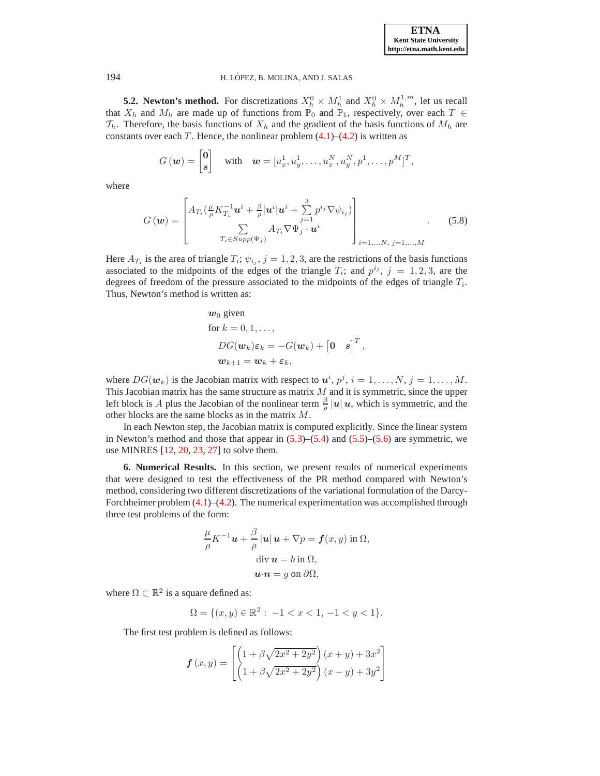| <b>ETNA</b>                  |
|------------------------------|
| <b>Kent State University</b> |
| http://etna.math.kent.edu    |

**5.2. Newton's method.** For discretizations  $X_h^0 \times M_h^1$  and  $X_h^0 \times M_h^{1,m}$ , let us recall that  $X_h$  and  $M_h$  are made up of functions from  $\mathbb{P}_0$  and  $\mathbb{P}_1$ , respectively, over each  $T \in$  $\mathcal{T}_h$ . Therefore, the basis functions of  $X_h$  and the gradient of the basis functions of  $M_h$  are constants over each T. Hence, the nonlinear problem  $(4.1)$ – $(4.2)$  is written as

$$
G(\mathbf{w}) = \begin{bmatrix} \mathbf{0} \\ \mathbf{s} \end{bmatrix} \quad \text{with} \quad \mathbf{w} = [u_x^1, u_y^1, \dots, u_x^N, u_y^N, p^1, \dots, p^M]^T,
$$

where

$$
G(\boldsymbol{w}) = \begin{bmatrix} A_{T_i}(\frac{\mu}{\rho}K_{T_i}^{-1}\boldsymbol{u}^i + \frac{\beta}{\rho}|\boldsymbol{u}^i|\boldsymbol{u}^i + \sum_{j=1}^3 p^{i_j} \nabla \psi_{i_j}) \\ \sum_{T_i \in Supp(\Psi_j)} A_{T_i} \nabla \Psi_j \cdot \boldsymbol{u}^i \end{bmatrix}_{i=1,...N, j=1,...,M}
$$
(5.8)

Here  $A_{T_i}$  is the area of triangle  $T_i$ ;  $\psi_{i_j}$ ,  $j = 1, 2, 3$ , are the restrictions of the basis functions associated to the midpoints of the edges of the triangle  $T_i$ ; and  $p^{i_j}$ ,  $j = 1, 2, 3$ , are the degrees of freedom of the pressure associated to the midpoints of the edges of triangle  $T_i$ . Thus, Newton's method is written as:

$$
\begin{aligned} \mathbf{w}_0 \text{ given} \\ \text{for } k = 0, 1, \dots, \\ DG(\mathbf{w}_k)\varepsilon_k &= -G(\mathbf{w}_k) + \begin{bmatrix} 0 & s \end{bmatrix}^T, \\ \mathbf{w}_{k+1} &= \mathbf{w}_k + \varepsilon_k, \end{aligned}
$$

where  $DG(\mathbf{w}_k)$  is the Jacobian matrix with respect to  $\mathbf{u}^i$ ,  $p^j$ ,  $i = 1, \ldots, N$ ,  $j = 1, \ldots, M$ . This Jacobian matrix has the same structure as matrix  $M$  and it is symmetric, since the upper left block is A plus the Jacobian of the nonlinear term  $\frac{\beta}{\rho} |u| u$ , which is symmetric, and the other blocks are the same blocks as in the matrix M.

In each Newton step, the Jacobian matrix is computed explicitly. Since the linear system in Newton's method and those that appear in  $(5.3)$ – $(5.4)$  and  $(5.5)$ – $(5.6)$  are symmetric, we use MINRES [\[12](#page-16-24), [20](#page-16-25), [23](#page-16-26), [27](#page-16-27)] to solve them.

<span id="page-7-0"></span>**6. Numerical Results.** In this section, we present results of numerical experiments that were designed to test the effectiveness of the PR method compared with Newton's method, considering two different discretizations of the variational formulation of the Darcy-Forchheimer problem  $(4.1)$ – $(4.2)$ . The numerical experimentation was accomplished through three test problems of the form:

$$
\frac{\mu}{\rho} K^{-1} \mathbf{u} + \frac{\beta}{\rho} |\mathbf{u}| \mathbf{u} + \nabla p = \mathbf{f}(x, y) \text{ in } \Omega,
$$
  
div  $\mathbf{u} = b$  in  $\Omega$ ,  
 $\mathbf{u} \cdot \mathbf{n} = g$  on  $\partial \Omega$ ,

where  $\Omega \subset \mathbb{R}^2$  is a square defined as:

$$
\Omega = \{ (x, y) \in \mathbb{R}^2 : -1 < x < 1, -1 < y < 1 \}.
$$

The first test problem is defined as follows:

$$
\mathbf{f}(x,y) = \begin{bmatrix} \left(1 + \beta\sqrt{2x^2 + 2y^2}\right)(x+y) + 3x^2\\ \left(1 + \beta\sqrt{2x^2 + 2y^2}\right)(x-y) + 3y^2 \end{bmatrix}
$$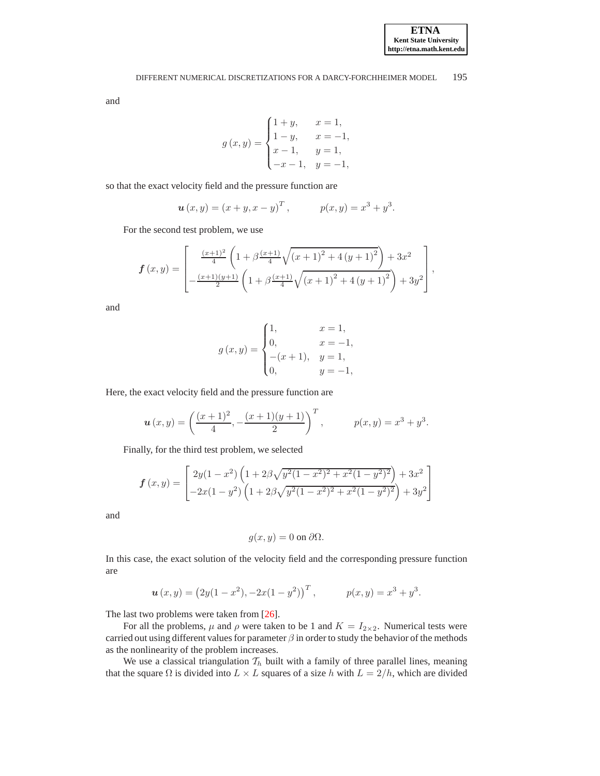and

$$
g(x,y) = \begin{cases} 1+y, & x = 1, \\ 1-y, & x = -1, \\ x-1, & y = 1, \\ -x-1, & y = -1, \end{cases}
$$

 $\overline{\phantom{a}}$ 

so that the exact velocity field and the pressure function are

$$
\mathbf{u}(x, y) = (x + y, x - y)^T, \qquad p(x, y) = x^3 + y^3.
$$

For the second test problem, we use

$$
\mathbf{f}(x,y) = \begin{bmatrix} \frac{(x+1)^2}{4} \left(1 + \beta \frac{(x+1)}{4} \sqrt{(x+1)^2 + 4 (y+1)^2}\right) + 3x^2 \\ -\frac{(x+1)(y+1)}{2} \left(1 + \beta \frac{(x+1)}{4} \sqrt{(x+1)^2 + 4 (y+1)^2}\right) + 3y^2 \end{bmatrix},
$$

and

$$
g(x,y) = \begin{cases} 1, & x = 1, \\ 0, & x = -1, \\ -(x+1), & y = 1, \\ 0, & y = -1, \end{cases}
$$

Here, the exact velocity field and the pressure function are

$$
\mathbf{u}(x,y) = \left(\frac{(x+1)^2}{4}, -\frac{(x+1)(y+1)}{2}\right)^T, \qquad p(x,y) = x^3 + y^3.
$$

Finally, for the third test problem, we selected

$$
\boldsymbol{f}(x,y) = \begin{bmatrix} 2y(1-x^2)\left(1+2\beta\sqrt{y^2(1-x^2)^2+x^2(1-y^2)^2}\right)+3x^2\\ -2x(1-y^2)\left(1+2\beta\sqrt{y^2(1-x^2)^2+x^2(1-y^2)^2}\right)+3y^2 \end{bmatrix}
$$

and

$$
g(x, y) = 0 \text{ on } \partial \Omega.
$$

In this case, the exact solution of the velocity field and the corresponding pressure function are

$$
\mathbf{u}(x,y) = (2y(1-x^2), -2x(1-y^2))^T, \qquad p(x,y) = x^3 + y^3.
$$

The last two problems were taken from [\[26](#page-16-15)].

For all the problems,  $\mu$  and  $\rho$  were taken to be 1 and  $K = I_{2 \times 2}$ . Numerical tests were carried out using different values for parameter  $\beta$  in order to study the behavior of the methods as the nonlinearity of the problem increases.

We use a classical triangulation  $\mathcal{T}_h$  built with a family of three parallel lines, meaning that the square  $\Omega$  is divided into  $L \times L$  squares of a size h with  $L = 2/h$ , which are divided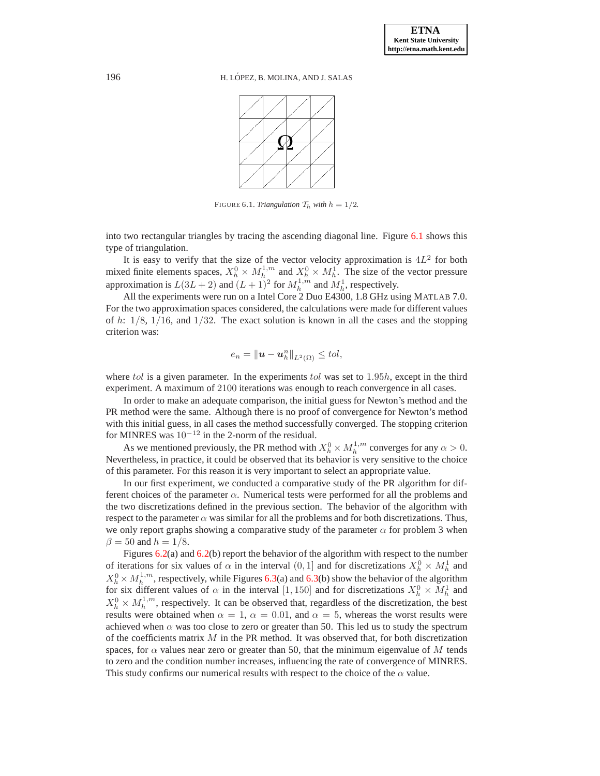

<span id="page-9-0"></span>FIGURE 6.1. *Triangulation*  $\mathcal{T}_h$  *with*  $h = 1/2$ *.* 

into two rectangular triangles by tracing the ascending diagonal line. Figure [6.1](#page-9-0) shows this type of triangulation.

It is easy to verify that the size of the vector velocity approximation is  $4L^2$  for both mixed finite elements spaces,  $X_h^0 \times M_h^{1,m}$  and  $X_h^0 \times M_h^1$ . The size of the vector pressure approximation is  $L(3L + 2)$  and  $(L + 1)^2$  for  $M_h^{1,m}$  and  $M_h^1$ , respectively.

All the experiments were run on a Intel Core 2 Duo E4300, 1.8 GHz using MATLAB 7.0. For the two approximation spaces considered, the calculations were made for different values of h:  $1/8$ ,  $1/16$ , and  $1/32$ . The exact solution is known in all the cases and the stopping criterion was:

$$
e_n=\|\mathbf{u}-\mathbf{u}_h^n\|_{L^2(\Omega)}\leq tol,
$$

where tol is a given parameter. In the experiments tol was set to  $1.95h$ , except in the third experiment. A maximum of 2100 iterations was enough to reach convergence in all cases.

In order to make an adequate comparison, the initial guess for Newton's method and the PR method were the same. Although there is no proof of convergence for Newton's method with this initial guess, in all cases the method successfully converged. The stopping criterion for MINRES was  $10^{-12}$  in the 2-norm of the residual.

As we mentioned previously, the PR method with  $X_h^0 \times M_h^{1,m}$  converges for any  $\alpha > 0$ . Nevertheless, in practice, it could be observed that its behavior is very sensitive to the choice of this parameter. For this reason it is very important to select an appropriate value.

In our first experiment, we conducted a comparative study of the PR algorithm for different choices of the parameter  $\alpha$ . Numerical tests were performed for all the problems and the two discretizations defined in the previous section. The behavior of the algorithm with respect to the parameter  $\alpha$  was similar for all the problems and for both discretizations. Thus, we only report graphs showing a comparative study of the parameter  $\alpha$  for problem 3 when  $\beta = 50$  and  $h = 1/8$ .

Figures  $6.2(a)$  $6.2(a)$  and  $6.2(b)$  report the behavior of the algorithm with respect to the number of iterations for six values of  $\alpha$  in the interval  $(0, 1]$  and for discretizations  $X_h^0 \times M_h^1$  and  $X_h^0 \times M_h^{1,m}$ , respectively, while Figures [6.3\(](#page-10-1)a) and 6.3(b) show the behavior of the algorithm for six different values of  $\alpha$  in the interval [1, 150] and for discretizations  $X_h^0 \times M_h^1$  and  $X_h^0 \times M_h^{1,m}$ , respectively. It can be observed that, regardless of the discretization, the best results were obtained when  $\alpha = 1$ ,  $\alpha = 0.01$ , and  $\alpha = 5$ , whereas the worst results were achieved when  $\alpha$  was too close to zero or greater than 50. This led us to study the spectrum of the coefficients matrix  $M$  in the PR method. It was observed that, for both discretization spaces, for  $\alpha$  values near zero or greater than 50, that the minimum eigenvalue of M tends to zero and the condition number increases, influencing the rate of convergence of MINRES. This study confirms our numerical results with respect to the choice of the  $\alpha$  value.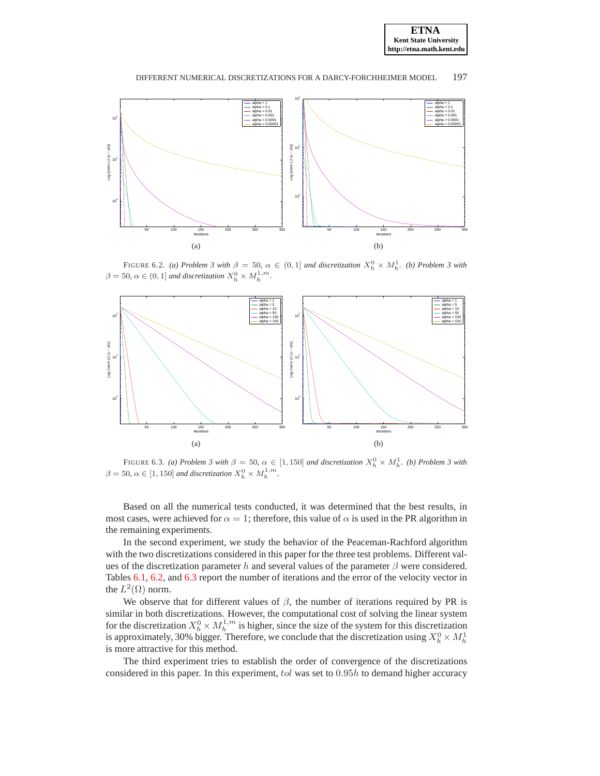



<span id="page-10-0"></span>FIGURE 6.2. *(a) Problem 3 with*  $\beta = 50$ ,  $\alpha \in (0,1]$  *and discretization*  $X_h^0 \times M_h^1$ . *(b) Problem 3 with*  $\beta = 50, \, \alpha \in (0, 1]$  *and discretization*  $X_h^0 \times M_h^{1, m}$ .



<span id="page-10-1"></span>FIGURE 6.3. *(a) Problem 3 with*  $\beta = 50$ ,  $\alpha \in [1, 150]$  *and discretization*  $X_h^0 \times M_h^1$ . *(b) Problem 3 with*  $\beta = 50, \ \alpha \in [1, 150]$  and discretization  $X_h^0 \times M_h^{1,m}$ .

Based on all the numerical tests conducted, it was determined that the best results, in most cases, were achieved for  $\alpha = 1$ ; therefore, this value of  $\alpha$  is used in the PR algorithm in the remaining experiments.

In the second experiment, we study the behavior of the Peaceman-Rachford algorithm with the two discretizations considered in this paper for the three test problems. Different values of the discretization parameter h and several values of the parameter  $\beta$  were considered. Tables [6.1,](#page-11-0) [6.2,](#page-11-1) and [6.3](#page-12-0) report the number of iterations and the error of the velocity vector in the  $L^2(\Omega)$  norm.

We observe that for different values of  $\beta$ , the number of iterations required by PR is similar in both discretizations. However, the computational cost of solving the linear system for the discretization  $X_h^0 \times M_h^{1,m}$  is higher, since the size of the system for this discretization is approximately, 30% bigger. Therefore, we conclude that the discretization using  $X_h^0 \times M_h^1$ is more attractive for this method.

The third experiment tries to establish the order of convergence of the discretizations considered in this paper. In this experiment, tol was set to 0.95h to demand higher accuracy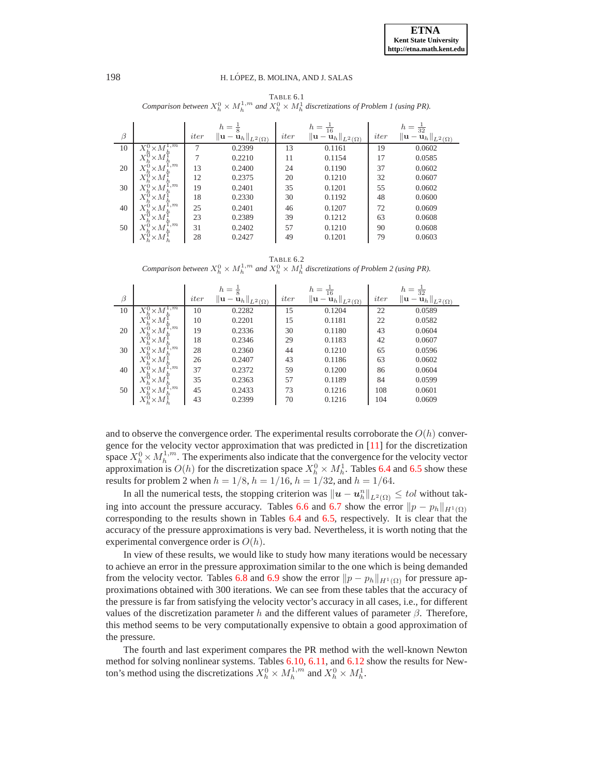<span id="page-11-0"></span>TABLE 6.1 *Comparison between*  $X_h^0 \times M_h^{1,m}$  and  $X_h^0 \times M_h^1$  discretizations of Problem 1 (using PR).

|         |                                          |      | $h=\frac{1}{8}$                             |      | $h = \frac{1}{16}$                                         |      | $h = \frac{1}{32}$                          |
|---------|------------------------------------------|------|---------------------------------------------|------|------------------------------------------------------------|------|---------------------------------------------|
| $\beta$ |                                          | iter | $\ \mathbf{u}-\mathbf{u}_h\ _{L^2(\Omega)}$ | iter | $\left\  \mathbf{u} - \mathbf{u}_h \right\ _{L^2(\Omega)}$ | iter | $\ \mathbf{u}-\mathbf{u}_h\ _{L^2(\Omega)}$ |
| 10      | 1,m                                      | 7    | 0.2399                                      | 13   | 0.1161                                                     | 19   | 0.0602                                      |
|         | $\times M$                               |      | 0.2210                                      | 11   | 0.1154                                                     | 17   | 0.0585                                      |
| 20      | 1,m<br>$X_i^0$<br>$\times M$             | 13   | 0.2400                                      | 24   | 0.1190                                                     | 37   | 0.0602                                      |
|         | $\times M$                               | 12   | 0.2375                                      | 20   | 0.1210                                                     | 32   | 0.0607                                      |
| 30      | $^{1,m}$<br>$X^0$<br>$\times M$          | 19   | 0.2401                                      | 35   | 0.1201                                                     | 55   | 0.0602                                      |
|         | $\times M$ ;                             | 18   | 0.2330                                      | 30   | 0.1192                                                     | 48   | 0.0600                                      |
| 40      | 1,m<br>$\times$ M                        | 25   | 0.2401                                      | 46   | 0.1207                                                     | 72   | 0.0609                                      |
|         | $\times M$                               | 23   | 0.2389                                      | 39   | 0.1212                                                     | 63   | 0.0608                                      |
| 50      | $^{1,m}$<br>$\times M$                   | 31   | 0.2402                                      | 57   | 0.1210                                                     | 90   | 0.0608                                      |
|         | $\times M^{\scriptscriptstyle\bullet}_h$ | 28   | 0.2427                                      | 49   | 0.1201                                                     | 79   | 0.0603                                      |

<span id="page-11-1"></span>TABLE 6.2 *Comparison between*  $X_h^0 \times M_h^{1,m}$  and  $X_h^0 \times M_h^1$  discretizations of Problem 2 (using PR).

|         |                                  |      | $h =$                                                                           |      | $h = \frac{1}{16}$                                                                          |      | $h = \frac{1}{32}$                                                   |
|---------|----------------------------------|------|---------------------------------------------------------------------------------|------|---------------------------------------------------------------------------------------------|------|----------------------------------------------------------------------|
| $\beta$ |                                  | iter | $\left\Vert \mathbf{u}-\mathbf{u}_{h}\right\Vert _{L^{2}\left( \Omega\right) }$ | iter | $\left\Vert \mathbf{u}-\widetilde{\mathbf{u}}_{h}\right\Vert _{L^{2}\left( \Omega\right) }$ | iter | $\left\Vert \mathbf{u}-\ddot{\mathbf{u}}_h\right\Vert_{L^2(\Omega)}$ |
| 10      | $\cdot$ m                        | 10   | 0.2282                                                                          | 15   | 0.1204                                                                                      | 22   | 0.0589                                                               |
|         | $\times M$                       | 10   | 0.2201                                                                          | 15   | 0.1181                                                                                      | 22   | 0.0582                                                               |
| 20      | 1,m<br>$\times M$                | 19   | 0.2336                                                                          | 30   | 0.1180                                                                                      | 43   | 0.0604                                                               |
|         | $\times M$                       | 18   | 0.2346                                                                          | 29   | 0.1183                                                                                      | 42   | 0.0607                                                               |
| 30      | 1,m<br>$\times M$                | 28   | 0.2360                                                                          | 44   | 0.1210                                                                                      | 65   | 0.0596                                                               |
|         | $\times M$                       | 26   | 0.2407                                                                          | 43   | 0.1186                                                                                      | 63   | 0.0602                                                               |
| 40      | 1,m<br>$\times M$                | 37   | 0.2372                                                                          | 59   | 0.1200                                                                                      | 86   | 0.0604                                                               |
|         | $X^{\mathfrak{c}}$<br>$\times M$ | 35   | 0.2363                                                                          | 57   | 0.1189                                                                                      | 84   | 0.0599                                                               |
| 50      | $_{1,m}$<br>$\times M$           | 45   | 0.2433                                                                          | 73   | 0.1216                                                                                      | 108  | 0.0601                                                               |
|         | $\times M^1_h$                   | 43   | 0.2399                                                                          | 70   | 0.1216                                                                                      | 104  | 0.0609                                                               |

and to observe the convergence order. The experimental results corroborate the  $O(h)$  convergence for the velocity vector approximation that was predicted in [\[11\]](#page-16-1) for the discretization space  $X_h^0 \times M_h^{1,m}$ . The experiments also indicate that the convergence for the velocity vector approximation is  $O(h)$  for the discretization space  $X_h^0 \times M_h^1$ . Tables [6.4](#page-12-1) and [6.5](#page-12-2) show these results for problem 2 when  $h = 1/8$ ,  $h = 1/16$ ,  $h = 1/32$ , and  $h = 1/64$ .

In all the numerical tests, the stopping criterion was  $||u - u_h^n||_{L^2(\Omega)} \leq tol$  without tak-ing into account the pressure accuracy. Tables [6.6](#page-12-3) and [6.7](#page-13-1) show the error  $||p - p_h||_{H^1(\Omega)}$ corresponding to the results shown in Tables [6.4](#page-12-1) and [6.5,](#page-12-2) respectively. It is clear that the accuracy of the pressure approximations is very bad. Nevertheless, it is worth noting that the experimental convergence order is  $O(h)$ .

In view of these results, we would like to study how many iterations would be necessary to achieve an error in the pressure approximation similar to the one which is being demanded from the velocity vector. Tables [6.8](#page-13-2) and [6.9](#page-13-3) show the error  $||p - p_h||_{H^1(\Omega)}$  for pressure approximations obtained with 300 iterations. We can see from these tables that the accuracy of the pressure is far from satisfying the velocity vector's accuracy in all cases, i.e., for different values of the discretization parameter h and the different values of parameter  $\beta$ . Therefore, this method seems to be very computationally expensive to obtain a good approximation of the pressure.

The fourth and last experiment compares the PR method with the well-known Newton method for solving nonlinear systems. Tables [6.10,](#page-13-4) [6.11,](#page-14-0) and [6.12](#page-14-1) show the results for Newton's method using the discretizations  $X_h^0 \times M_h^{1,m}$  and  $X_h^0 \times M_h^1$ .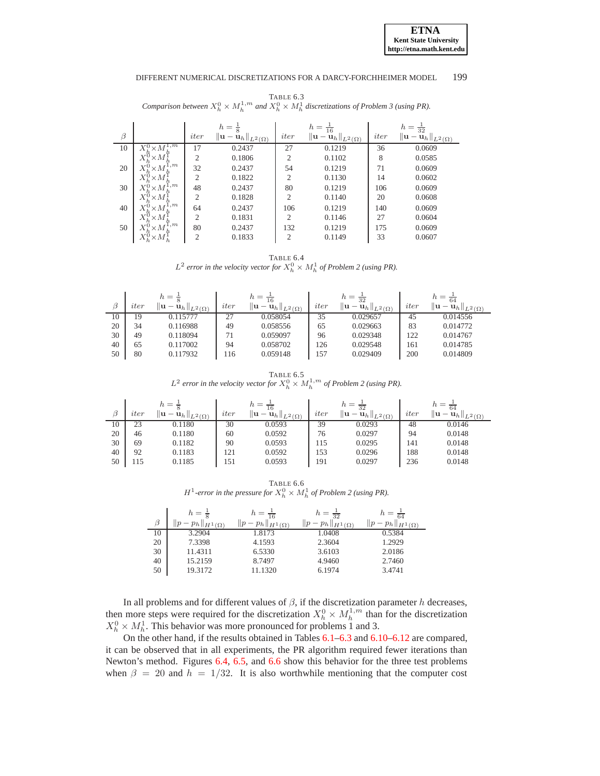**ETNA Kent State University http://etna.math.kent.edu**

### DIFFERENT NUMERICAL DISCRETIZATIONS FOR A DARCY-FORCHHEIMER MODEL 199

<span id="page-12-0"></span>TABLE 6.3 *Comparison between*  $X_h^0 \times M_h^{1,m}$  and  $X_h^0 \times M_h^1$  discretizations of Problem 3 (using PR).

|    |                                    |                | $h =$<br>$\frac{1}{8}$                      |                | $h = \frac{1}{16}$                          |      | $h = \frac{1}{32}$                          |
|----|------------------------------------|----------------|---------------------------------------------|----------------|---------------------------------------------|------|---------------------------------------------|
| β  |                                    | iter           | $\ \mathbf{u}-\mathbf{u}_h\ _{L^2(\Omega)}$ | iter           | $\ \mathbf{u}-\mathbf{u}_h\ _{L^2(\Omega)}$ | iter | $\ \mathbf{u}-\mathbf{u}_h\ _{L^2(\Omega)}$ |
| 10 | 1,m<br>$\times M$                  | 17             | 0.2437                                      | 27             | 0.1219                                      | 36   | 0.0609                                      |
|    | Χ<br>$\times M$                    | $\overline{2}$ | 0.1806                                      | $\overline{2}$ | 0.1102                                      | 8    | 0.0585                                      |
| 20 | 1, m<br>X,<br>$\times M$           | 32             | 0.2437                                      | 54             | 0.1219                                      | 71   | 0.0609                                      |
|    | $X_h^{\mathfrak{c}}$<br>$\times M$ | 2              | 0.1822                                      | $\overline{c}$ | 0.1130                                      | 14   | 0.0602                                      |
| 30 | 1,m<br>$\times M$                  | 48             | 0.2437                                      | 80             | 0.1219                                      | 106  | 0.0609                                      |
|    | $X^{\mathfrak{c}}$<br>$\times M$   | $\overline{2}$ | 0.1828                                      | $\mathfrak{2}$ | 0.1140                                      | 20   | 0.0608                                      |
| 40 | 1,m<br>Χ,<br>$\times M$            | 64             | 0.2437                                      | 106            | 0.1219                                      | 140  | 0.0609                                      |
|    | $X^{\mathfrak{g}}$<br>$\times M$   | $\overline{2}$ | 0.1831                                      | 2              | 0.1146                                      | 27   | 0.0604                                      |
| 50 | 1,m<br>$\times M$                  | 80             | 0.2437                                      | 132            | 0.1219                                      | 175  | 0.0609                                      |
|    | $\mathbb{Y}M$ ,<br>Αĭ              | $\overline{2}$ | 0.1833                                      | $\overline{2}$ | 0.1149                                      | 33   | 0.0607                                      |

<span id="page-12-1"></span>TABLE 6.4  $L^2$  error in the velocity vector for  $X_h^0 \times M_h^1$  of Problem 2 (using PR).

|    | $h =$ |                                                       |      | $=$                                                   |      | $n =$<br>32                                           |      | $h =$                                          |
|----|-------|-------------------------------------------------------|------|-------------------------------------------------------|------|-------------------------------------------------------|------|------------------------------------------------|
| β  | iter  | lu<br>$\mathbf{u} = \mathbf{u}_h \Vert_{L^2(\Omega)}$ | iter | ⊪u<br>$\mathbf{u} = \mathbf{u}_h \Vert_{L^2(\Omega)}$ | iter | ⊪u<br>$\mathbf{u} = \mathbf{u}_h \Vert_{L^2(\Omega)}$ | iter | ⊪u<br>$\ \cdot - \mathbf{u}_h\ _{L^2(\Omega)}$ |
| 10 | 19    | 0.115777                                              | 27   | 0.058054                                              | 35   | 0.029657                                              | 45   | 0.014556                                       |
| 20 | 34    | 0.116988                                              | 49   | 0.058556                                              | 65   | 0.029663                                              | 83   | 0.014772                                       |
| 30 | 49    | 0.118094                                              | 71   | 0.059097                                              | 96   | 0.029348                                              | 122  | 0.014767                                       |
| 40 | 65    | 0.117002                                              | 94   | 0.058702                                              | 126  | 0.029548                                              | 161  | 0.014785                                       |
| 50 | 80    | 0.117932                                              | .16  | 0.059148                                              | 157  | 0.029409                                              | 200  | 0.014809                                       |

<span id="page-12-2"></span>TABLE 6.5  $L^2$  error in the velocity vector for  $X_h^0 \times M_h^{1,m}$  of Problem 2 (using PR).

|    |      | $h =$                                         |      | $h = \frac{1}{16}$                          |      | $=$<br>32                                     |      | 64                                                          |
|----|------|-----------------------------------------------|------|---------------------------------------------|------|-----------------------------------------------|------|-------------------------------------------------------------|
| β  | iter | $  \mathbf{u} - \mathbf{u}_h  _{L^2(\Omega)}$ | iter | $\ \mathbf{u}-\mathbf{u}_h\ _{L^2(\Omega)}$ | iter | $  \mathbf{u} - \mathbf{u}_h  _{L^2(\Omega)}$ | iter | ⊪u<br>$\cdot -\mathbf{u}_{h\parallel r}$ .<br>$L^2(\Omega)$ |
| 10 | 23   | 0.1180                                        | 30   | 0.0593                                      | 39   | 0.0293                                        | 48   | 0.0146                                                      |
| 20 | 46   | 0.1180                                        | 60   | 0.0592                                      | 76   | 0.0297                                        | 94   | 0.0148                                                      |
| 30 | 69   | 0.1182                                        | 90   | 0.0593                                      | 115  | 0.0295                                        | 141  | 0.0148                                                      |
| 40 | 92   | 0.1183                                        | 121  | 0.0592                                      | 153  | 0.0296                                        | 188  | 0.0148                                                      |
| 50 | 115  | 0.1185                                        | 151  | 0.0593                                      | 191  | 0.0297                                        | 236  | 0.0148                                                      |

<span id="page-12-3"></span>TABLE 6.6  $H^1$ -error in the pressure for  $X_h^0 \times M_h^1$  of Problem 2 (using PR).

| β  | $h =$<br>$\parallel_H^1(\Omega)$ | $\parallel p$<br>$p_h$<br>$\ H^1(\Omega)\ $ | 32<br>$p_h$<br>$\ H^1(\Omega)\ $ | $\mathbb{I} p$<br>$H^1(\Omega)$ |
|----|----------------------------------|---------------------------------------------|----------------------------------|---------------------------------|
| 10 | 3.2904                           | 1.8173                                      | 1.0408                           | 0.5384                          |
| 20 | 7.3398                           | 4.1593                                      | 2.3604                           | 1.2929                          |
| 30 | 11.4311                          | 6.5330                                      | 3.6103                           | 2.0186                          |
| 40 | 15.2159                          | 8.7497                                      | 4.9460                           | 2.7460                          |
| 50 | 19.3172                          | 11.1320                                     | 6.1974                           | 3.4741                          |

In all problems and for different values of  $\beta$ , if the discretization parameter h decreases, then more steps were required for the discretization  $X_h^0 \times M_h^{1,m}$  than for the discretization  $X_h^0 \times M_h^1$ . This behavior was more pronounced for problems 1 and 3.

On the other hand, if the results obtained in Tables [6.1–](#page-11-0)[6.3](#page-12-0) and [6.10–](#page-13-4)[6.12](#page-14-1) are compared, it can be observed that in all experiments, the PR algorithm required fewer iterations than Newton's method. Figures [6.4,](#page-14-2) [6.5,](#page-15-0) and [6.6](#page-15-1) show this behavior for the three test problems when  $\beta = 20$  and  $h = 1/32$ . It is also worthwhile mentioning that the computer cost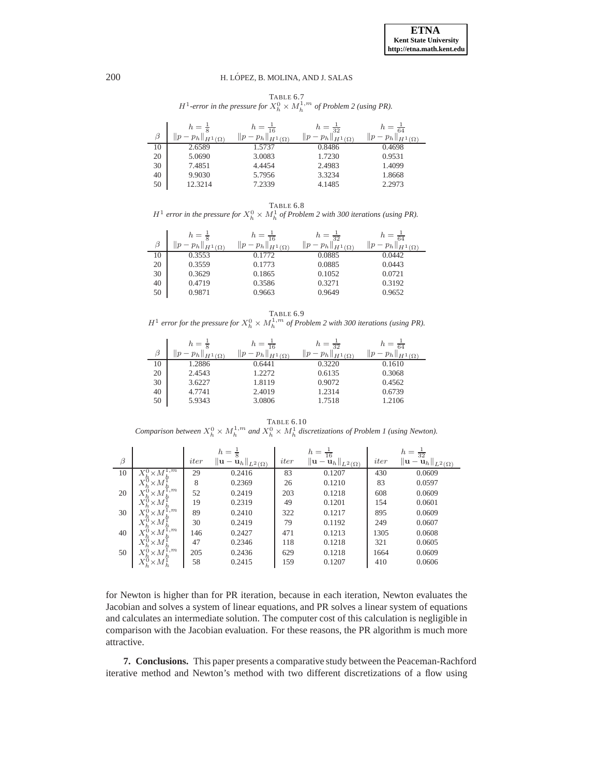<span id="page-13-1"></span>TABLE 6.7  $H^1$ -error in the pressure for  $X_h^0 \times M_h^{1,m}$  of Problem 2 (using PR).

| β  | $h = \frac{1}{8}$<br>$\parallel$ H <sup>1</sup> ( $\Omega$ ) | $h =$<br>$\ p\ $<br>$p_h$<br>$\parallel$ H <sup>1</sup> ( $\Omega$ ) | $h = \frac{1}{32}$<br>$\parallel p$<br>$p_h$<br>$\parallel$ H $^1$ ( $\Omega$ ) | $\frac{1}{64}$<br>$H^1(\Omega)$ |
|----|--------------------------------------------------------------|----------------------------------------------------------------------|---------------------------------------------------------------------------------|---------------------------------|
| 10 | 2.6589                                                       | 1.5737                                                               | 0.8486                                                                          | 0.4698                          |
| 20 | 5.0690                                                       | 3.0083                                                               | 1.7230                                                                          | 0.9531                          |
| 30 | 7.4851                                                       | 4.4454                                                               | 2.4983                                                                          | 1.4099                          |
| 40 | 9.9030                                                       | 5.7956                                                               | 3.3234                                                                          | 1.8668                          |
| 50 | 12.3214                                                      | 7.2339                                                               | 4.1485                                                                          | 2.2973                          |

TABLE 6.8

<span id="page-13-2"></span> $H^1$  error in the pressure for  $X_h^0 \times M_h^1$  of Problem 2 with 300 iterations (using PR).

|    | $h = \frac{1}{5}$            | $h =$                 | $h = \frac{1}{32}$                      | $h = \frac{1}{64}$              |
|----|------------------------------|-----------------------|-----------------------------------------|---------------------------------|
| β  | $p_h \ _{H^1(\Omega)}$<br> p | $p_h\ _{H^1(\Omega)}$ | $\parallel p$<br>$p_h \ _{H^1(\Omega)}$ | $\ p\ $<br>$Ph\ _{H^1(\Omega)}$ |
| 10 | 0.3553                       | 0.1772                | 0.0885                                  | 0.0442                          |
| 20 | 0.3559                       | 0.1773                | 0.0885                                  | 0.0443                          |
| 30 | 0.3629                       | 0.1865                | 0.1052                                  | 0.0721                          |
| 40 | 0.4719                       | 0.3586                | 0.3271                                  | 0.3192                          |
| 50 | 0.9871                       | 0.9663                | 0.9649                                  | 0.9652                          |

TABLE 6.9  $H^1$  error for the pressure for  $X_h^0 \times M_h^{1,m}$  of Problem 2 with 300 iterations (using PR).

<span id="page-13-3"></span>

|    | $h=\frac{1}{8}$        | $h =$                  | $h = \frac{1}{32}$         |                                   |
|----|------------------------|------------------------|----------------------------|-----------------------------------|
| β  | $p_h \ _{H^1(\Omega)}$ | $-p_h\ _{H^1(\Omega)}$ | p<br>$P_h  _{H^1(\Omega)}$ | $p_h \ _{H^1(\Omega)}$<br>$\ p\ $ |
| 10 | .2886                  | 0.6441                 | 0.3220                     | 0.1610                            |
| 20 | 2.4543                 | 1.2272                 | 0.6135                     | 0.3068                            |
| 30 | 3.6227                 | 1.8119                 | 0.9072                     | 0.4562                            |
| 40 | 4.7741                 | 2.4019                 | 1.2314                     | 0.6739                            |
| 50 | 5.9343                 | 3.0806                 | 1.7518                     | 1.2106                            |

TABLE 6.10

<span id="page-13-4"></span>*Comparison between*  $X_h^0 \times M_h^{1,m}$  and  $X_h^0 \times M_h^1$  discretizations of Problem 1 (using Newton).

|         |                                         |      | $h = \frac{1}{8}$                           |      | $h = \frac{1}{16}$                          |      | $h = \frac{1}{32}$                          |
|---------|-----------------------------------------|------|---------------------------------------------|------|---------------------------------------------|------|---------------------------------------------|
| $\beta$ |                                         | iter | $\ \mathbf{u}-\mathbf{u}_h\ _{L^2(\Omega)}$ | iter | $\ \mathbf{u}-\mathbf{u}_h\ _{L^2(\Omega)}$ | iter | $\ \mathbf{u}-\mathbf{u}_h\ _{L^2(\Omega)}$ |
| 10      | 1,m                                     | 29   | 0.2416                                      | 83   | 0.1207                                      | 430  | 0.0609                                      |
|         | $\times M$                              | 8    | 0.2369                                      | 26   | 0.1210                                      | 83   | 0.0597                                      |
| 20      | $^{1,m}$<br>$\times M$                  | 52   | 0.2419                                      | 203  | 0.1218                                      | 608  | 0.0609                                      |
|         | $\times M$                              | 19   | 0.2319                                      | 49   | 0.1201                                      | 154  | 0.0601                                      |
| 30      | 1,m<br>$X^0$<br>$\times M$              | 89   | 0.2410                                      | 322  | 0.1217                                      | 895  | 0.0609                                      |
|         | $\times M$                              | 30   | 0.2419                                      | 79   | 0.1192                                      | 249  | 0.0607                                      |
| 40      | $^{1,m}$<br>$X^0$<br>$\times M$         | 146  | 0.2427                                      | 471  | 0.1213                                      | 1305 | 0.0608                                      |
|         | $X^0$<br>$\times M$                     | 47   | 0.2346                                      | 118  | 0.1218                                      | 321  | 0.0605                                      |
| 50      | 1,m<br>$X^{\mathfrak{c}}$<br>$\times M$ | 205  | 0.2436                                      | 629  | 0.1218                                      | 1664 | 0.0609                                      |
|         | $\times M^{\scriptscriptstyle \vee}$    | 58   | 0.2415                                      | 159  | 0.1207                                      | 410  | 0.0606                                      |

for Newton is higher than for PR iteration, because in each iteration, Newton evaluates the Jacobian and solves a system of linear equations, and PR solves a linear system of equations and calculates an intermediate solution. The computer cost of this calculation is negligible in comparison with the Jacobian evaluation. For these reasons, the PR algorithm is much more attractive.

<span id="page-13-0"></span>**7. Conclusions.** This paper presents a comparative study between the Peaceman-Rachford iterative method and Newton's method with two different discretizations of a flow using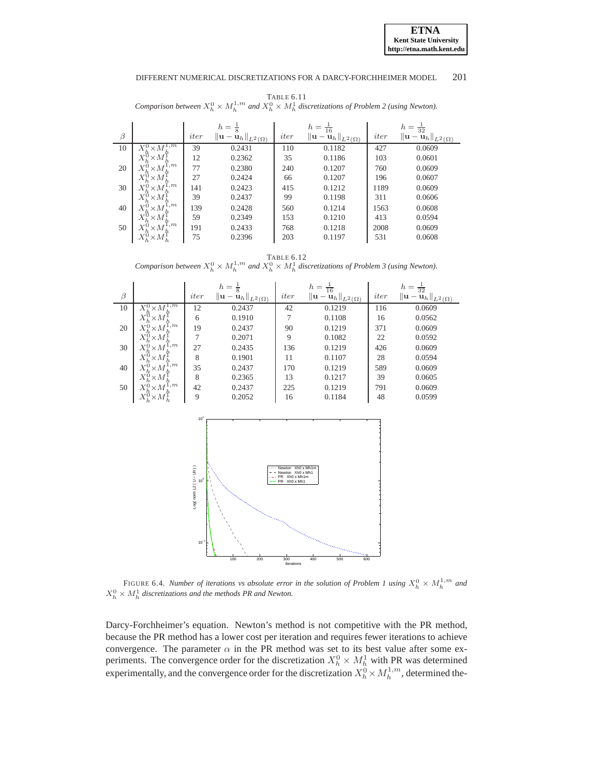<span id="page-14-0"></span>TABLE 6.11 *Comparison between*  $X_h^0 \times M_h^{1,m}$  and  $X_h^0 \times M_h^1$  discretizations of Problem 2 (using Newton).

|         |                                              |      | $h=\frac{1}{8}$                                     |      | $h = \frac{1}{16}$                                         |      | $h = \frac{1}{32}$                          |
|---------|----------------------------------------------|------|-----------------------------------------------------|------|------------------------------------------------------------|------|---------------------------------------------|
| $\beta$ |                                              | iter | $\ \mathbf{u}-\check{\mathbf{u}}_h\ _{L^2(\Omega)}$ | iter | $\left\  \mathbf{u} - \mathbf{u}_h \right\ _{L^2(\Omega)}$ | iter | $\ \mathbf{u}-\mathbf{u}_h\ _{L^2(\Omega)}$ |
| 10      | 1,m<br>$X_{\iota}^0$<br>$\times M$           | 39   | 0.2431                                              | 110  | 0.1182                                                     | 427  | 0.0609                                      |
|         | $\times M$                                   | 12   | 0.2362                                              | 35   | 0.1186                                                     | 103  | 0.0601                                      |
| 20      | l,m<br>$\times M$                            | 77   | 0.2380                                              | 240  | 0.1207                                                     | 760  | 0.0609                                      |
|         | $\times M$                                   | 27   | 0.2424                                              | 66   | 0.1207                                                     | 196  | 0.0607                                      |
| 30      | 1,m<br>$\times M$                            | 141  | 0.2423                                              | 415  | 0.1212                                                     | 1189 | 0.0609                                      |
|         | $\times M$                                   | 39   | 0.2437                                              | 99   | 0.1198                                                     | 311  | 0.0606                                      |
| 40      | $_{1,m}$<br>$X^{\mathfrak{c}}$<br>$\times M$ | 139  | 0.2428                                              | 560  | 0.1214                                                     | 1563 | 0.0608                                      |
|         | $\times M$                                   | 59   | 0.2349                                              | 153  | 0.1210                                                     | 413  | 0.0594                                      |
| 50      | 1,m<br>$X^0$<br>$\times M$                   | 191  | 0.2433                                              | 768  | 0.1218                                                     | 2008 | 0.0609                                      |
|         | $\times M$                                   | 75   | 0.2396                                              | 203  | 0.1197                                                     | 531  | 0.0608                                      |

<span id="page-14-1"></span>TABLE 6.12 *Comparison between*  $X_h^0 \times M_h^{1,m}$  and  $X_h^0 \times M_h^1$  discretizations of Problem 3 (using Newton).



<span id="page-14-2"></span>FIGURE 6.4. *Number of iterations vs absolute error in the solution of Problem 1 using*  $X_h^0 \times M_h^{1,m}$  and  $X_h^0 \times M_h^1$  discretizations and the methods PR and Newton.

Darcy-Forchheimer's equation. Newton's method is not competitive with the PR method, because the PR method has a lower cost per iteration and requires fewer iterations to achieve convergence. The parameter  $\alpha$  in the PR method was set to its best value after some experiments. The convergence order for the discretization  $X_h^0 \times M_h^1$  with PR was determined experimentally, and the convergence order for the discretization  $X_h^0 \times M_h^{1,m}$ , determined the-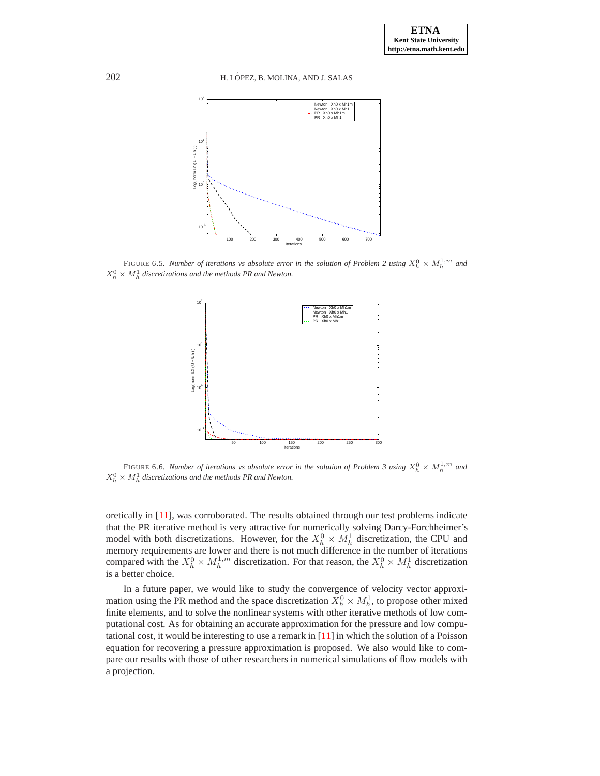

FIGURE 6.5. *Number of iterations vs absolute error in the solution of Problem 2 using*  $X_h^0 \times M_h^{1,m}$  and  $X_h^0 \times M_h^1$  discretizations and the methods PR and Newton.

<span id="page-15-0"></span>

<span id="page-15-1"></span>FIGURE 6.6. *Number of iterations vs absolute error in the solution of Problem 3 using*  $X_h^0 \times M_h^{1,m}$  and  $X_h^0 \times M_h^1$  discretizations and the methods PR and Newton.

oretically in [\[11](#page-16-1)], was corroborated. The results obtained through our test problems indicate that the PR iterative method is very attractive for numerically solving Darcy-Forchheimer's model with both discretizations. However, for the  $X_h^0 \times M_h^1$  discretization, the CPU and memory requirements are lower and there is not much difference in the number of iterations compared with the  $X_h^0 \times M_h^{1,m}$  discretization. For that reason, the  $X_h^0 \times M_h^1$  discretization is a better choice.

In a future paper, we would like to study the convergence of velocity vector approximation using the PR method and the space discretization  $X_h^0 \times M_h^1$ , to propose other mixed finite elements, and to solve the nonlinear systems with other iterative methods of low computational cost. As for obtaining an accurate approximation for the pressure and low computational cost, it would be interesting to use a remark in  $[11]$  in which the solution of a Poisson equation for recovering a pressure approximation is proposed. We also would like to compare our results with those of other researchers in numerical simulations of flow models with a projection.